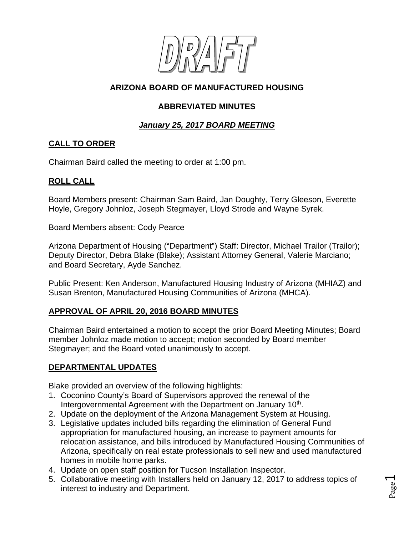

# **ARIZONA BOARD OF MANUFACTURED HOUSING**

### **ABBREVIATED MINUTES**

## *January 25, 2017 BOARD MEETING*

## **CALL TO ORDER**

Chairman Baird called the meeting to order at 1:00 pm.

### **ROLL CALL**

Board Members present: Chairman Sam Baird, Jan Doughty, Terry Gleeson, Everette Hoyle, Gregory Johnloz, Joseph Stegmayer, Lloyd Strode and Wayne Syrek.

Board Members absent: Cody Pearce

Arizona Department of Housing ("Department") Staff: Director, Michael Trailor (Trailor); Deputy Director, Debra Blake (Blake); Assistant Attorney General, Valerie Marciano; and Board Secretary, Ayde Sanchez.

Public Present: Ken Anderson, Manufactured Housing Industry of Arizona (MHIAZ) and Susan Brenton, Manufactured Housing Communities of Arizona (MHCA).

#### **APPROVAL OF APRIL 20, 2016 BOARD MINUTES**

Chairman Baird entertained a motion to accept the prior Board Meeting Minutes; Board member Johnloz made motion to accept; motion seconded by Board member Stegmayer; and the Board voted unanimously to accept.

## **DEPARTMENTAL UPDATES**

Blake provided an overview of the following highlights:

- 1. Coconino County's Board of Supervisors approved the renewal of the Intergovernmental Agreement with the Department on January 10<sup>th</sup>.
- 2. Update on the deployment of the Arizona Management System at Housing.
- 3. Legislative updates included bills regarding the elimination of General Fund appropriation for manufactured housing, an increase to payment amounts for relocation assistance, and bills introduced by Manufactured Housing Communities of Arizona, specifically on real estate professionals to sell new and used manufactured homes in mobile home parks.
- 4. Update on open staff position for Tucson Installation Inspector.
- 5. Collaborative meeting with Installers held on January 12, 2017 to address topics of interest to industry and Department.